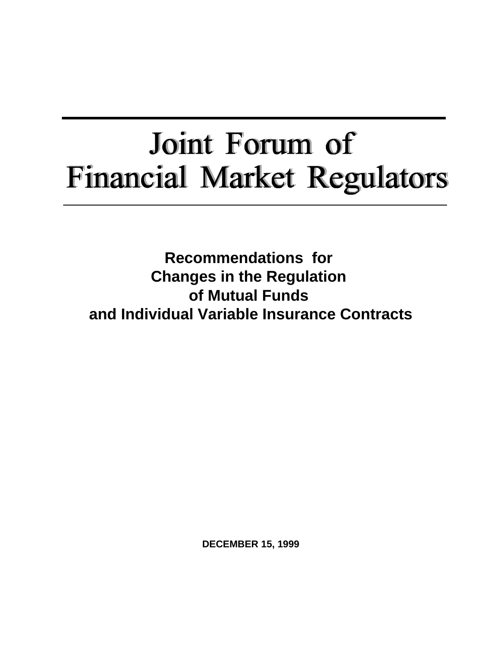# Joint Forum of **Financial Market Regulators**

**Recommendations for Changes in the Regulation of Mutual Funds and Individual Variable Insurance Contracts**

**DECEMBER 15, 1999**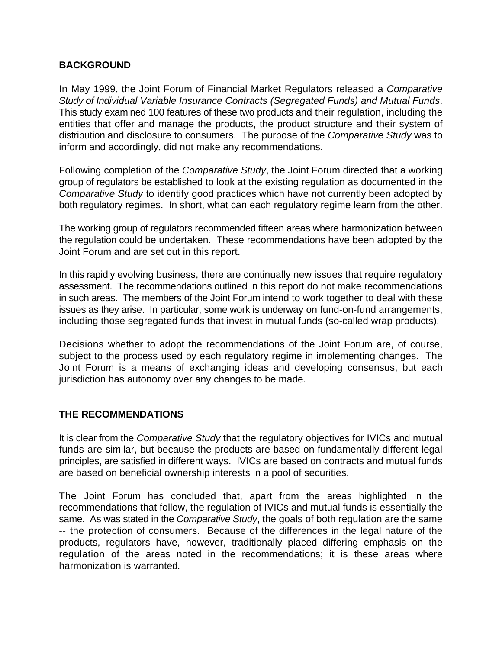## **BACKGROUND**

In May 1999, the Joint Forum of Financial Market Regulators released a *Comparative Study of Individual Variable Insurance Contracts (Segregated Funds) and Mutual Funds*. This study examined 100 features of these two products and their regulation, including the entities that offer and manage the products, the product structure and their system of distribution and disclosure to consumers. The purpose of the *Comparative Study* was to inform and accordingly, did not make any recommendations.

Following completion of the *Comparative Study*, the Joint Forum directed that a working group of regulators be established to look at the existing regulation as documented in the *Comparative Study* to identify good practices which have not currently been adopted by both regulatory regimes. In short, what can each regulatory regime learn from the other.

The working group of regulators recommended fifteen areas where harmonization between the regulation could be undertaken. These recommendations have been adopted by the Joint Forum and are set out in this report.

In this rapidly evolving business, there are continually new issues that require regulatory assessment. The recommendations outlined in this report do not make recommendations in such areas. The members of the Joint Forum intend to work together to deal with these issues as they arise. In particular, some work is underway on fund-on-fund arrangements, including those segregated funds that invest in mutual funds (so-called wrap products).

Decisions whether to adopt the recommendations of the Joint Forum are, of course, subject to the process used by each regulatory regime in implementing changes. The Joint Forum is a means of exchanging ideas and developing consensus, but each jurisdiction has autonomy over any changes to be made.

# **THE RECOMMENDATIONS**

It is clear from the *Comparative Study* that the regulatory objectives for IVICs and mutual funds are similar, but because the products are based on fundamentally different legal principles, are satisfied in different ways. IVICs are based on contracts and mutual funds are based on beneficial ownership interests in a pool of securities.

The Joint Forum has concluded that, apart from the areas highlighted in the recommendations that follow, the regulation of IVICs and mutual funds is essentially the same. As was stated in the *Comparative Study*, the goals of both regulation are the same -- the protection of consumers. Because of the differences in the legal nature of the products, regulators have, however, traditionally placed differing emphasis on the regulation of the areas noted in the recommendations; it is these areas where harmonization is warranted*.*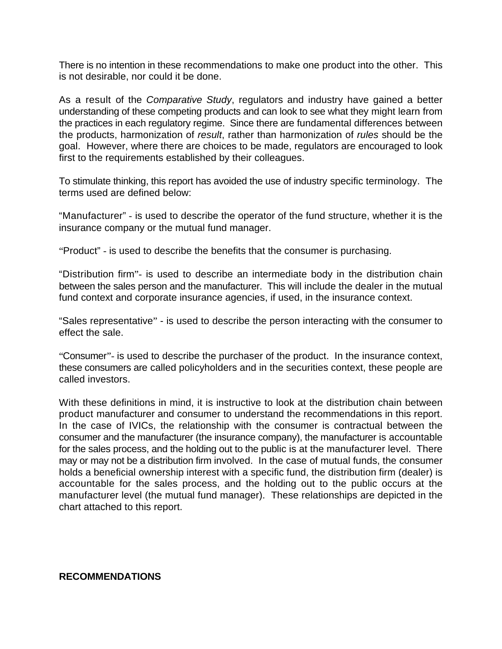There is no intention in these recommendations to make one product into the other. This is not desirable, nor could it be done.

As a result of the *Comparative Study*, regulators and industry have gained a better understanding of these competing products and can look to see what they might learn from the practices in each regulatory regime. Since there are fundamental differences between the products, harmonization of *result*, rather than harmonization of *rules* should be the goal. However, where there are choices to be made, regulators are encouraged to look first to the requirements established by their colleagues.

To stimulate thinking, this report has avoided the use of industry specific terminology. The terms used are defined below:

"Manufacturer" - is used to describe the operator of the fund structure, whether it is the insurance company or the mutual fund manager.

"Product" - is used to describe the benefits that the consumer is purchasing.

"Distribution firm"- is used to describe an intermediate body in the distribution chain between the sales person and the manufacturer. This will include the dealer in the mutual fund context and corporate insurance agencies, if used, in the insurance context.

"Sales representative" - is used to describe the person interacting with the consumer to effect the sale.

"Consumer"- is used to describe the purchaser of the product. In the insurance context, these consumers are called policyholders and in the securities context, these people are called investors.

With these definitions in mind, it is instructive to look at the distribution chain between product manufacturer and consumer to understand the recommendations in this report. In the case of IVICs, the relationship with the consumer is contractual between the consumer and the manufacturer (the insurance company), the manufacturer is accountable for the sales process, and the holding out to the public is at the manufacturer level. There may or may not be a distribution firm involved. In the case of mutual funds, the consumer holds a beneficial ownership interest with a specific fund, the distribution firm (dealer) is accountable for the sales process, and the holding out to the public occurs at the manufacturer level (the mutual fund manager). These relationships are depicted in the chart attached to this report.

**RECOMMENDATIONS**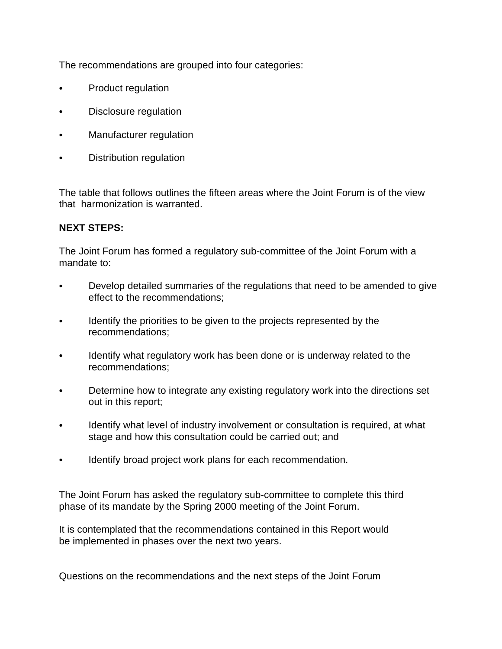The recommendations are grouped into four categories:

- Product regulation
- Disclosure regulation
- Manufacturer regulation
- Distribution regulation

The table that follows outlines the fifteen areas where the Joint Forum is of the view that harmonization is warranted.

# **NEXT STEPS:**

The Joint Forum has formed a regulatory sub-committee of the Joint Forum with a mandate to:

- Develop detailed summaries of the regulations that need to be amended to give effect to the recommendations;
- Identify the priorities to be given to the projects represented by the recommendations;
- Identify what regulatory work has been done or is underway related to the recommendations;
- Determine how to integrate any existing regulatory work into the directions set out in this report;
- Identify what level of industry involvement or consultation is required, at what stage and how this consultation could be carried out; and
- Identify broad project work plans for each recommendation.

The Joint Forum has asked the regulatory sub-committee to complete this third phase of its mandate by the Spring 2000 meeting of the Joint Forum.

It is contemplated that the recommendations contained in this Report would be implemented in phases over the next two years.

Questions on the recommendations and the next steps of the Joint Forum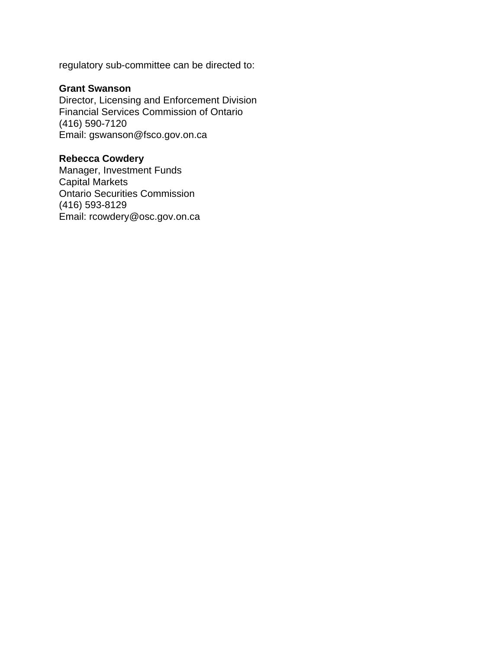regulatory sub-committee can be directed to:

### **Grant Swanson**

Director, Licensing and Enforcement Division Financial Services Commission of Ontario (416) 590-7120 Email: gswanson@fsco.gov.on.ca

### **Rebecca Cowdery**

Manager, Investment Funds Capital Markets Ontario Securities Commission (416) 593-8129 Email: rcowdery@osc.gov.on.ca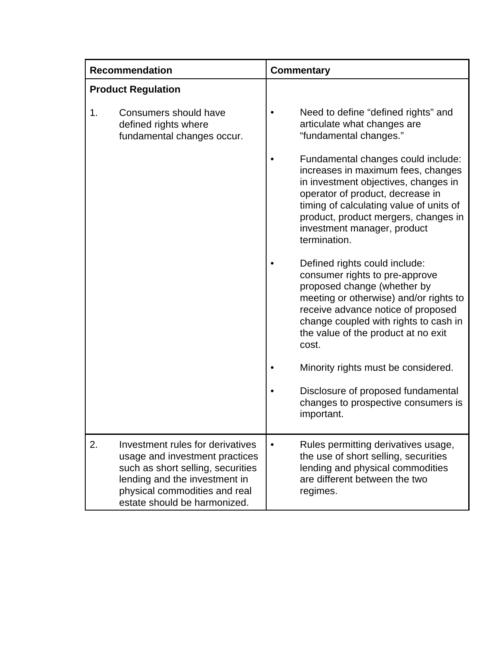| <b>Recommendation</b>     |                                                                                                                                                                                                           | <b>Commentary</b> |                                                                                                                                                                                                                                                                                        |
|---------------------------|-----------------------------------------------------------------------------------------------------------------------------------------------------------------------------------------------------------|-------------------|----------------------------------------------------------------------------------------------------------------------------------------------------------------------------------------------------------------------------------------------------------------------------------------|
| <b>Product Regulation</b> |                                                                                                                                                                                                           |                   |                                                                                                                                                                                                                                                                                        |
| 1.                        | Consumers should have<br>defined rights where<br>fundamental changes occur.                                                                                                                               |                   | Need to define "defined rights" and<br>articulate what changes are<br>"fundamental changes."                                                                                                                                                                                           |
|                           |                                                                                                                                                                                                           |                   | Fundamental changes could include:<br>increases in maximum fees, changes<br>in investment objectives, changes in<br>operator of product, decrease in<br>timing of calculating value of units of<br>product, product mergers, changes in<br>investment manager, product<br>termination. |
|                           |                                                                                                                                                                                                           |                   | Defined rights could include:<br>consumer rights to pre-approve<br>proposed change (whether by<br>meeting or otherwise) and/or rights to<br>receive advance notice of proposed<br>change coupled with rights to cash in<br>the value of the product at no exit<br>cost.                |
|                           |                                                                                                                                                                                                           |                   | Minority rights must be considered.                                                                                                                                                                                                                                                    |
|                           |                                                                                                                                                                                                           |                   | Disclosure of proposed fundamental<br>changes to prospective consumers is<br>important.                                                                                                                                                                                                |
| 2.                        | Investment rules for derivatives<br>usage and investment practices<br>such as short selling, securities<br>lending and the investment in<br>physical commodities and real<br>estate should be harmonized. |                   | Rules permitting derivatives usage,<br>the use of short selling, securities<br>lending and physical commodities<br>are different between the two<br>regimes.                                                                                                                           |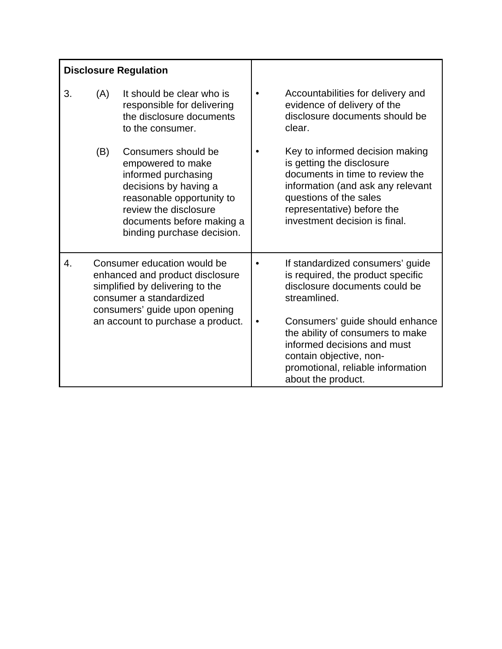| <b>Disclosure Regulation</b> |                                                                                                                                                                                                    |                                                                                                                                                                                                           |           |                                                                                                                                                                                                                                                         |
|------------------------------|----------------------------------------------------------------------------------------------------------------------------------------------------------------------------------------------------|-----------------------------------------------------------------------------------------------------------------------------------------------------------------------------------------------------------|-----------|---------------------------------------------------------------------------------------------------------------------------------------------------------------------------------------------------------------------------------------------------------|
| 3.                           | (A)                                                                                                                                                                                                | It should be clear who is<br>responsible for delivering<br>the disclosure documents<br>to the consumer.                                                                                                   | $\bullet$ | Accountabilities for delivery and<br>evidence of delivery of the<br>disclosure documents should be<br>clear.                                                                                                                                            |
|                              | (B)                                                                                                                                                                                                | Consumers should be<br>empowered to make<br>informed purchasing<br>decisions by having a<br>reasonable opportunity to<br>review the disclosure<br>documents before making a<br>binding purchase decision. |           | Key to informed decision making<br>is getting the disclosure<br>documents in time to review the<br>information (and ask any relevant<br>questions of the sales<br>representative) before the<br>investment decision is final.                           |
| 4.                           | Consumer education would be<br>enhanced and product disclosure<br>simplified by delivering to the<br>consumer a standardized<br>consumers' guide upon opening<br>an account to purchase a product. |                                                                                                                                                                                                           | $\bullet$ | If standardized consumers' guide<br>is required, the product specific<br>disclosure documents could be<br>streamlined.<br>Consumers' guide should enhance<br>the ability of consumers to make<br>informed decisions and must<br>contain objective, non- |
|                              |                                                                                                                                                                                                    |                                                                                                                                                                                                           |           | promotional, reliable information<br>about the product.                                                                                                                                                                                                 |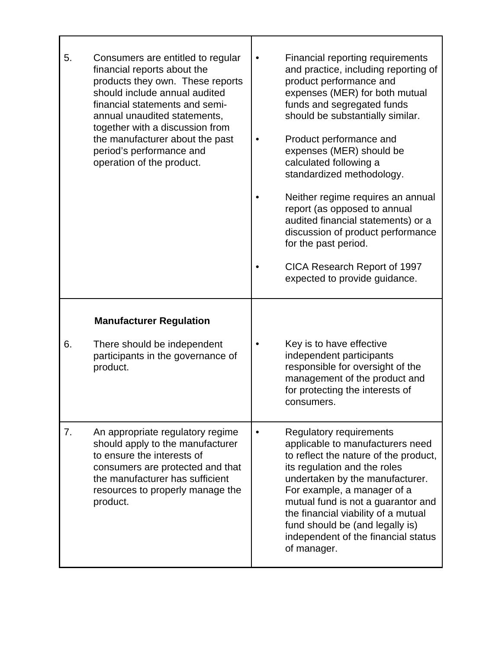| 5. | Consumers are entitled to regular<br>financial reports about the<br>products they own. These reports<br>should include annual audited<br>financial statements and semi-<br>annual unaudited statements,<br>together with a discussion from<br>the manufacturer about the past<br>period's performance and<br>operation of the product. | Financial reporting requirements<br>and practice, including reporting of<br>product performance and<br>expenses (MER) for both mutual<br>funds and segregated funds<br>should be substantially similar.<br>Product performance and<br>expenses (MER) should be<br>calculated following a<br>standardized methodology.<br>Neither regime requires an annual<br>report (as opposed to annual<br>audited financial statements) or a<br>discussion of product performance<br>for the past period. |
|----|----------------------------------------------------------------------------------------------------------------------------------------------------------------------------------------------------------------------------------------------------------------------------------------------------------------------------------------|-----------------------------------------------------------------------------------------------------------------------------------------------------------------------------------------------------------------------------------------------------------------------------------------------------------------------------------------------------------------------------------------------------------------------------------------------------------------------------------------------|
|    |                                                                                                                                                                                                                                                                                                                                        | CICA Research Report of 1997<br>expected to provide guidance.                                                                                                                                                                                                                                                                                                                                                                                                                                 |
|    | <b>Manufacturer Regulation</b>                                                                                                                                                                                                                                                                                                         |                                                                                                                                                                                                                                                                                                                                                                                                                                                                                               |
| 6. | There should be independent<br>participants in the governance of<br>product.                                                                                                                                                                                                                                                           | Key is to have effective<br>independent participants<br>responsible for oversight of the<br>management of the product and<br>for protecting the interests of<br>consumers.                                                                                                                                                                                                                                                                                                                    |
| 7. | An appropriate regulatory regime<br>should apply to the manufacturer<br>to ensure the interests of<br>consumers are protected and that<br>the manufacturer has sufficient<br>resources to properly manage the<br>product.                                                                                                              | <b>Regulatory requirements</b><br>applicable to manufacturers need<br>to reflect the nature of the product,<br>its regulation and the roles<br>undertaken by the manufacturer.<br>For example, a manager of a<br>mutual fund is not a guarantor and<br>the financial viability of a mutual<br>fund should be (and legally is)<br>independent of the financial status<br>of manager.                                                                                                           |

٦

Г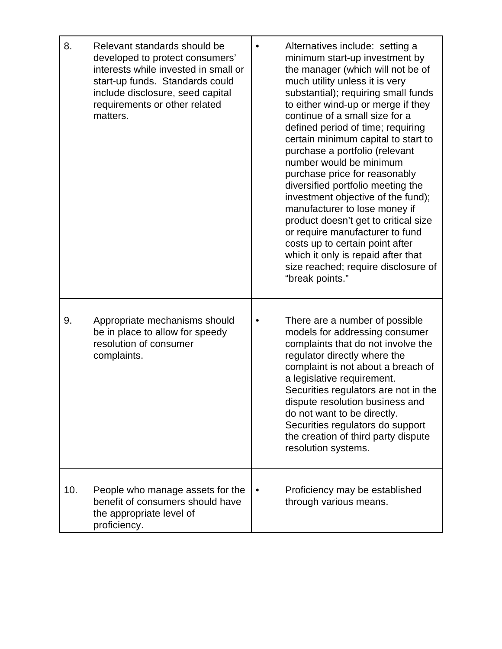| 8.  | Relevant standards should be<br>developed to protect consumers'<br>interests while invested in small or<br>start-up funds. Standards could<br>include disclosure, seed capital<br>requirements or other related<br>matters. | Alternatives include: setting a<br>minimum start-up investment by<br>the manager (which will not be of<br>much utility unless it is very<br>substantial); requiring small funds<br>to either wind-up or merge if they<br>continue of a small size for a<br>defined period of time; requiring<br>certain minimum capital to start to<br>purchase a portfolio (relevant<br>number would be minimum<br>purchase price for reasonably<br>diversified portfolio meeting the<br>investment objective of the fund);<br>manufacturer to lose money if<br>product doesn't get to critical size<br>or require manufacturer to fund<br>costs up to certain point after<br>which it only is repaid after that<br>size reached; require disclosure of<br>"break points." |
|-----|-----------------------------------------------------------------------------------------------------------------------------------------------------------------------------------------------------------------------------|-------------------------------------------------------------------------------------------------------------------------------------------------------------------------------------------------------------------------------------------------------------------------------------------------------------------------------------------------------------------------------------------------------------------------------------------------------------------------------------------------------------------------------------------------------------------------------------------------------------------------------------------------------------------------------------------------------------------------------------------------------------|
| 9.  | Appropriate mechanisms should<br>be in place to allow for speedy<br>resolution of consumer<br>complaints.                                                                                                                   | There are a number of possible<br>models for addressing consumer<br>complaints that do not involve the<br>regulator directly where the<br>complaint is not about a breach of<br>a legislative requirement.<br>Securities regulators are not in the<br>dispute resolution business and<br>do not want to be directly.<br>Securities regulators do support<br>the creation of third party dispute<br>resolution systems.                                                                                                                                                                                                                                                                                                                                      |
| 10. | People who manage assets for the<br>benefit of consumers should have<br>the appropriate level of<br>proficiency.                                                                                                            | Proficiency may be established<br>through various means.                                                                                                                                                                                                                                                                                                                                                                                                                                                                                                                                                                                                                                                                                                    |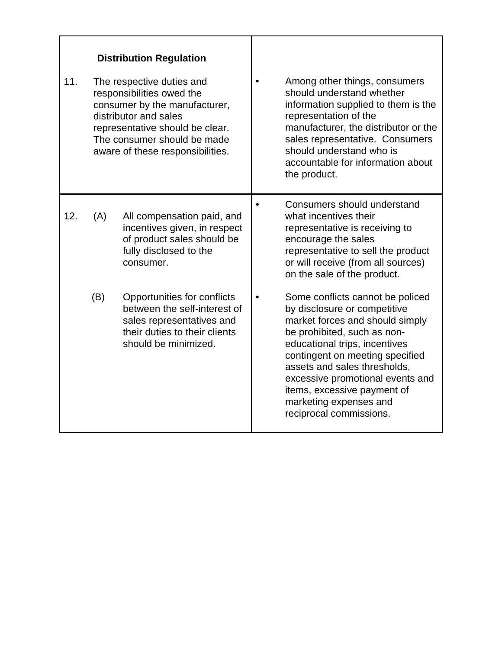| 11. | <b>Distribution Regulation</b><br>The respective duties and<br>responsibilities owed the<br>consumer by the manufacturer,<br>distributor and sales<br>representative should be clear.<br>The consumer should be made<br>aware of these responsibilities. |                                                                                                                                                   | Among other things, consumers<br>should understand whether<br>information supplied to them is the<br>representation of the<br>manufacturer, the distributor or the<br>sales representative. Consumers<br>should understand who is<br>accountable for information about<br>the product.                                                                         |
|-----|----------------------------------------------------------------------------------------------------------------------------------------------------------------------------------------------------------------------------------------------------------|---------------------------------------------------------------------------------------------------------------------------------------------------|----------------------------------------------------------------------------------------------------------------------------------------------------------------------------------------------------------------------------------------------------------------------------------------------------------------------------------------------------------------|
| 12. | (A)                                                                                                                                                                                                                                                      | All compensation paid, and<br>incentives given, in respect<br>of product sales should be<br>fully disclosed to the<br>consumer.                   | Consumers should understand<br>what incentives their<br>representative is receiving to<br>encourage the sales<br>representative to sell the product<br>or will receive (from all sources)<br>on the sale of the product.                                                                                                                                       |
|     | (B)                                                                                                                                                                                                                                                      | Opportunities for conflicts<br>between the self-interest of<br>sales representatives and<br>their duties to their clients<br>should be minimized. | Some conflicts cannot be policed<br>by disclosure or competitive<br>market forces and should simply<br>be prohibited, such as non-<br>educational trips, incentives<br>contingent on meeting specified<br>assets and sales thresholds,<br>excessive promotional events and<br>items, excessive payment of<br>marketing expenses and<br>reciprocal commissions. |

г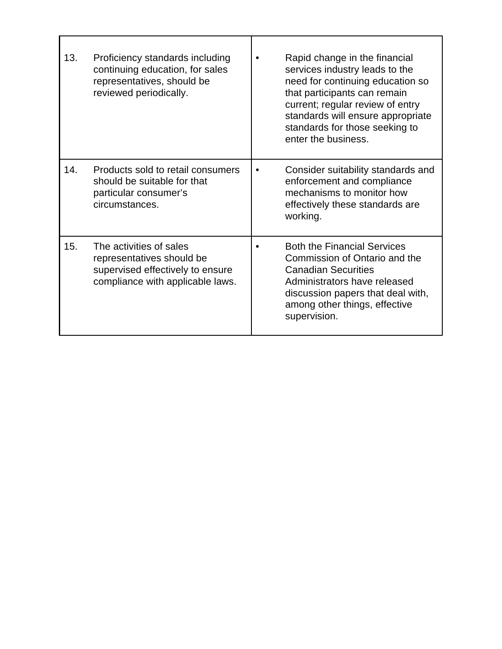| 13. | Proficiency standards including<br>continuing education, for sales<br>representatives, should be<br>reviewed periodically.   | Rapid change in the financial<br>services industry leads to the<br>need for continuing education so<br>that participants can remain<br>current; regular review of entry<br>standards will ensure appropriate<br>standards for those seeking to<br>enter the business. |
|-----|------------------------------------------------------------------------------------------------------------------------------|-----------------------------------------------------------------------------------------------------------------------------------------------------------------------------------------------------------------------------------------------------------------------|
| 14. | Products sold to retail consumers<br>should be suitable for that<br>particular consumer's<br>circumstances.                  | Consider suitability standards and<br>enforcement and compliance<br>mechanisms to monitor how<br>effectively these standards are<br>working.                                                                                                                          |
| 15. | The activities of sales<br>representatives should be<br>supervised effectively to ensure<br>compliance with applicable laws. | <b>Both the Financial Services</b><br>Commission of Ontario and the<br><b>Canadian Securities</b><br>Administrators have released<br>discussion papers that deal with,<br>among other things, effective<br>supervision.                                               |

Г